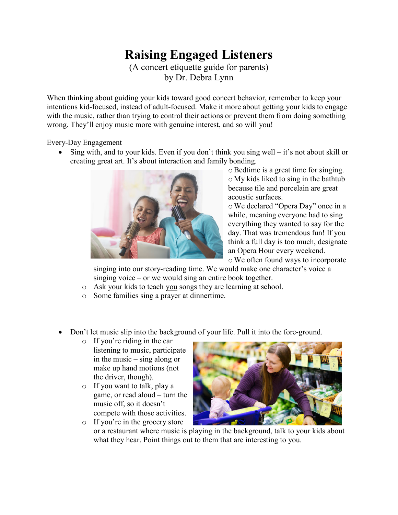## **Raising Engaged Listeners**

(A concert etiquette guide for parents) by Dr. Debra Lynn

When thinking about guiding your kids toward good concert behavior, remember to keep your intentions kid-focused, instead of adult-focused. Make it more about getting your kids to engage with the music, rather than trying to control their actions or prevent them from doing something wrong. They'll enjoy music more with genuine interest, and so will you!

## Every-Day Engagement

• Sing with, and to your kids. Even if you don't think you sing well  $-$  it's not about skill or creating great art. It's about interaction and family bonding.



oBedtime is a great time for singing. o My kids liked to sing in the bathtub because tile and porcelain are great acoustic surfaces.

oWe declared "Opera Day" once in a while, meaning everyone had to sing everything they wanted to say for the day. That was tremendous fun! If you think a full day is too much, designate an Opera Hour every weekend.

oWe often found ways to incorporate singing into our story-reading time. We would make one character's voice a

- singing voice or we would sing an entire book together.
- o Ask your kids to teach you songs they are learning at school.
- o Some families sing a prayer at dinnertime.
- Don't let music slip into the background of your life. Pull it into the fore-ground.
	- o If you're riding in the car listening to music, participate in the music – sing along or make up hand motions (not the driver, though).
	- o If you want to talk, play a game, or read aloud – turn the music off, so it doesn't compete with those activities. o If you're in the grocery store



or a restaurant where music is playing in the background, talk to your kids about what they hear. Point things out to them that are interesting to you.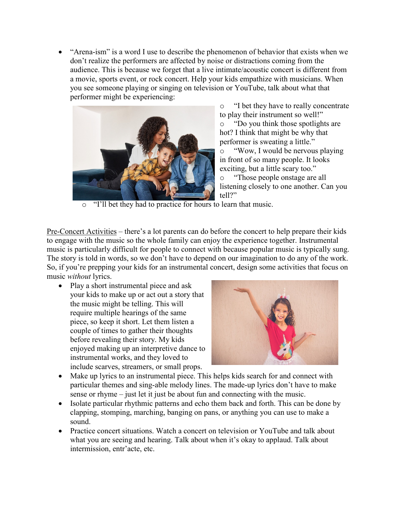• "Arena-ism" is a word I use to describe the phenomenon of behavior that exists when we don't realize the performers are affected by noise or distractions coming from the audience. This is because we forget that a live intimate/acoustic concert is different from a movie, sports event, or rock concert. Help your kids empathize with musicians. When you see someone playing or singing on television or YouTube, talk about what that performer might be experiencing:



o "I bet they have to really concentrate to play their instrument so well!" o "Do you think those spotlights are hot? I think that might be why that performer is sweating a little." o "Wow, I would be nervous playing in front of so many people. It looks exciting, but a little scary too." o "Those people onstage are all listening closely to one another. Can you tell?"

"I'll bet they had to practice for hours to learn that music.

Pre-Concert Activities – there's a lot parents can do before the concert to help prepare their kids to engage with the music so the whole family can enjoy the experience together. Instrumental music is particularly difficult for people to connect with because popular music is typically sung. The story is told in words, so we don't have to depend on our imagination to do any of the work. So, if you're prepping your kids for an instrumental concert, design some activities that focus on music *without* lyrics.

• Play a short instrumental piece and ask your kids to make up or act out a story that the music might be telling. This will require multiple hearings of the same piece, so keep it short. Let them listen a couple of times to gather their thoughts before revealing their story. My kids enjoyed making up an interpretive dance to instrumental works, and they loved to include scarves, streamers, or small props.



- Make up lyrics to an instrumental piece. This helps kids search for and connect with particular themes and sing-able melody lines. The made-up lyrics don't have to make sense or rhyme – just let it just be about fun and connecting with the music.
- Isolate particular rhythmic patterns and echo them back and forth. This can be done by clapping, stomping, marching, banging on pans, or anything you can use to make a sound.
- Practice concert situations. Watch a concert on television or YouTube and talk about what you are seeing and hearing. Talk about when it's okay to applaud. Talk about intermission, entr'acte, etc.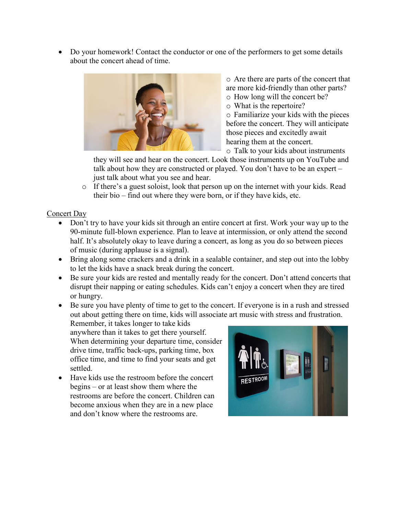• Do your homework! Contact the conductor or one of the performers to get some details about the concert ahead of time.



o Are there are parts of the concert that are more kid-friendly than other parts?

- o How long will the concert be?
- o What is the repertoire?

o Familiarize your kids with the pieces before the concert. They will anticipate those pieces and excitedly await hearing them at the concert.

o Talk to your kids about instruments

they will see and hear on the concert. Look those instruments up on YouTube and talk about how they are constructed or played. You don't have to be an expert – just talk about what you see and hear.

o If there's a guest soloist, look that person up on the internet with your kids. Read their bio – find out where they were born, or if they have kids, etc.

Concert Day

- Don't try to have your kids sit through an entire concert at first. Work your way up to the 90-minute full-blown experience. Plan to leave at intermission, or only attend the second half. It's absolutely okay to leave during a concert, as long as you do so between pieces of music (during applause is a signal).
- Bring along some crackers and a drink in a sealable container, and step out into the lobby to let the kids have a snack break during the concert.
- Be sure your kids are rested and mentally ready for the concert. Don't attend concerts that disrupt their napping or eating schedules. Kids can't enjoy a concert when they are tired or hungry.
- Be sure you have plenty of time to get to the concert. If everyone is in a rush and stressed out about getting there on time, kids will associate art music with stress and frustration.

Remember, it takes longer to take kids anywhere than it takes to get there yourself. When determining your departure time, consider drive time, traffic back-ups, parking time, box office time, and time to find your seats and get settled.

• Have kids use the restroom before the concert begins – or at least show them where the restrooms are before the concert. Children can become anxious when they are in a new place and don't know where the restrooms are.